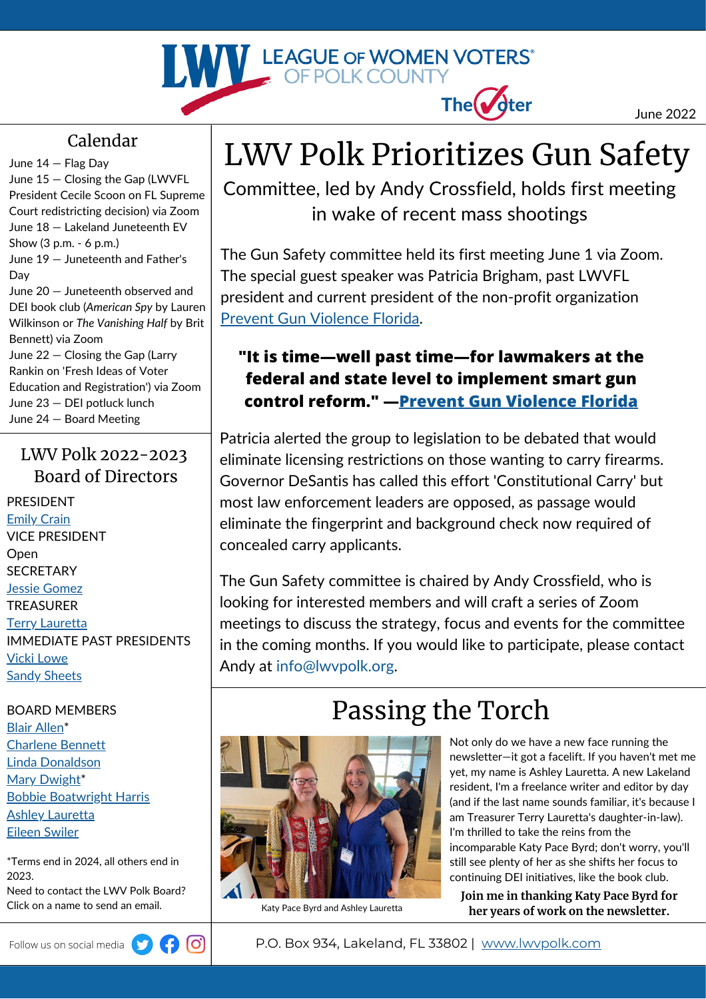

#### June 2022

#### Calendar

June 14 — Flag Day June 15 — Closing the Gap (LWVFL President Cecile Scoon on FL Supreme Court redistricting decision) via Zoom June 18 — Lakeland Juneteenth EV Show (3 p.m. - 6 p.m.) June 19 — Juneteenth and Father's Day June 20 — Juneteenth observed and DEI book club (*American Spy* by Lauren Wilkinson or *The Vanishing Half* by Brit Bennett) via Zoom June 22 — Closing the Gap (Larry Rankin on 'Fresh Ideas of Voter

Education and Registration') via Zoom June 23 — DEI potluck lunch June 24 — Board Meeting

#### LWV Polk 2022-2023 Board of Directors

PRESIDENT [Emily](mailto:ecrainlwvpolk@outlook.com) Crain VICE PRESIDENT **Open SECRETARY** Jessie [Gomez](mailto:jgomezlwv@gmail.com) TREASURER Terry [Lauretta](mailto:tlauretta@explorationsv.com) IMMEDIATE PAST PRESIDENTS Vicki [Lowe](mailto:vgl.art@tampabay.rr.com) Sandy [Sheets](mailto:sandra.sheets@gray-robinson.com)

BOARD MEMBERS Blair [Allen\\*](mailto:blair.nolen.allen@gmail.com) [Charlene](mailto:charleneben@earthlink.net) Bennett Linda [Donaldson](mailto:lindajdonaldson@yahoo.com) Mary [Dwight](mailto:mary.dwight60@gmail.com)\* Bobbie [Boatwright](mailto:bharris10@tampabay.rr.com) Harris Ashley [Lauretta](mailto:ashleyannlauretta@gmail.com) Eileen [Swiler](mailto:seswiler@msn.com)

\*Terms end in 2024, all others end in 2023. Need to contact the LWV Polk Board? Click on a name to send an email. The Senarce Byrd and Ashley Lauretta



## LWV Polk Prioritizes Gun Safety

Committee, led by Andy Crossfield, holds first meeting in wake of recent mass shootings

The Gun Safety committee held its first meeting June 1 via Zoom. The special guest speaker was Patricia Brigham, past LWVFL president and current president of the non-profit organization Prevent Gun [Violence](https://www.preventgunviolenceflorida.org/) Florida.

#### **"It is time—well past time—for lawmakers at the federal and state level to implement smart gun control reform." —[Prevent Gun Violence Florida](https://www.preventgunviolenceflorida.org/response-to-horrific-mass-shooting-at-robb-elementary-school/)**

Patricia alerted the group to legislation to be debated that would eliminate licensing restrictions on those wanting to carry firearms. Governor DeSantis has called this effort 'Constitutional Carry' but most law enforcement leaders are opposed, as passage would eliminate the fingerprint and background check now required of concealed carry applicants.

The Gun Safety committee is chaired by Andy Crossfield, who is looking for interested members and will craft a series of Zoom meetings to discuss the strategy, focus and events for the committee in the coming months. If you would like to participate, please contact Andy at [info@lwvpolk.org](mailto:info@lwvpolk.org).

### Passing the Torch



Not only do we have a new face running the newsletter—it got a facelift. If you haven't met me yet, my name is Ashley Lauretta. A new Lakeland resident, I'm a freelance writer and editor by day (and if the last name sounds familiar, it's because I am Treasurer Terry Lauretta's daughter-in-law). I'm thrilled to take the reins from the incomparable Katy Pace Byrd; don't worry, you'll still see plenty of her as she shifts her focus to continuing DEI initiatives, like the book club.

**Join me in thanking Katy Pace Byrd for her years of work on the newsletter.**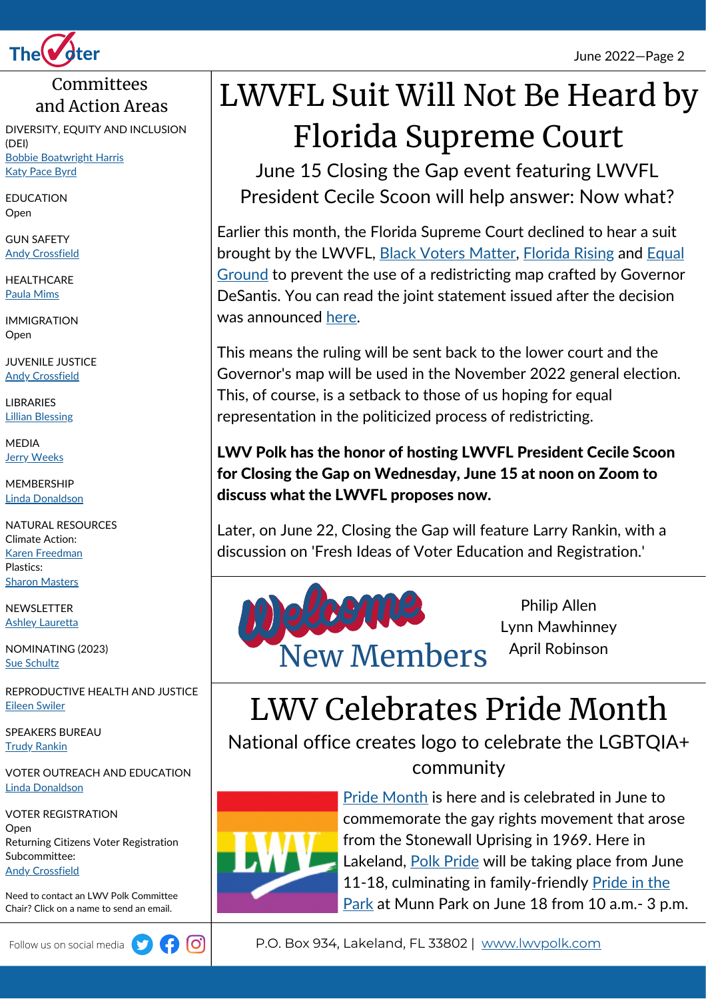

#### Committees and Action Areas

DIVERSITY, EQUITY AND INCLUSION (DEI) Bobbie [Boatwright](mailto:bharris10@tampabay.rr.com) Harris Katy [Pace](mailto:byrdkp@gmail.com) Byrd

EDUCATION Open

GUN SAFETY Andy [Crossfield](mailto:usandy@aol.com)

**HEALTHCARE** Paula [Mims](mailto:pmmims@aol.com)

IMMIGRATION Open

JUVENILE JUSTICE Andy [Crossfield](mailto:usandy@aol.com)

LIBRARIES Lillian [Blessing](mailto:lillianblessing@gmail.com)

MEDIA **Jerry [Weeks](mailto:geraldibus1@gmail.com)** 

MEMBERSHIP Linda [Donaldson](mailto:lindajdonaldson@yahoo.com)

NATURAL RESOURCES Climate Action: Karen [Freedman](mailto:kefreedman@hotmail.com) Plastics: **Sharon [Masters](mailto:smasters4549@icloud.com)** 

NEWSLETTER **Ashley [Lauretta](mailto:ashleyannlauretta@gmail.com)** 

NOMINATING (2023) Sue [Schultz](mailto:sueschultz1@verizon.net)

REPRODUCTIVE HEALTH AND JUSTICE Eileen [Swiler](mailto:seswiler@msn.com)

SPEAKERS BUREAU **Trudy [Rankin](mailto:trudycorryrankin@gmail.com)** 

VOTER OUTREACH AND EDUCATION Linda [Donaldson](mailto:lindajdonaldson@yahoo.com)

VOTER REGISTRATION Open Returning Citizens Voter Registration Subcommittee: **Andy [Crossfield](mailto:usandy@aol.com)** 

Need to contact an LWV Polk Committee Chair? Click on a name to send an email.



# LWVFL Suit Will Not Be Heard by Florida Supreme Court

June 15 Closing the Gap event featuring LWVFL President Cecile Scoon will help answer: Now what?

Earlier this month, the Florida Supreme Court declined to hear a suit brought by the LWVFL, Black Voters [Matter,](https://blackvotersmatterfund.org/) [Florida](https://floridarising.org/) Rising and Equal Ground to prevent the use of a [redistricting](https://www.equal-ground.com/) map crafted by Governor DeSantis. You can read the joint statement issued after the decision was announced [here.](https://www.facebook.com/LWVFlorida/posts/pfbid0zjn3oC2BDJZDfwCuinig81GUhewu6tSx9QTWBNZqUwJMFXBFy6BawhqfFm5SmMJWl)

This means the ruling will be sent back to the lower court and the Governor's map will be used in the November 2022 general election. This, of course, is a setback to those of us hoping for equal representation in the politicized process of redistricting.

LWV Polk has the honor of hosting LWVFL President Cecile Scoon for Closing the Gap on Wednesday, June 15 at noon on Zoom to discuss what the LWVFL proposes now.

Later, on June 22, Closing the Gap will feature Larry Rankin, with a discussion on 'Fresh Ideas of Voter Education and Registration.'



Philip Allen Lynn Mawhinney April Robinson

## LWV Celebrates Pride Month

National office creates logo to celebrate the LGBTQIA+ community



Pride [Month](https://www.loc.gov/lgbt-pride-month/about/) is here and is celebrated in June to commemorate the gay rights movement that arose from the Stonewall Uprising in 1969. Here in Lakeland, **Polk [Pride](https://polkpridefl.com/) will be taking place from June** 11-18, culminating in [family-friendly](https://www.facebook.com/events/munn-park-historic-district/polk-pride-2022-pride-in-the-park/491934609192205/) Pride in the Park at Munn Park on June 18 from 10 a.m.- 3 p.m.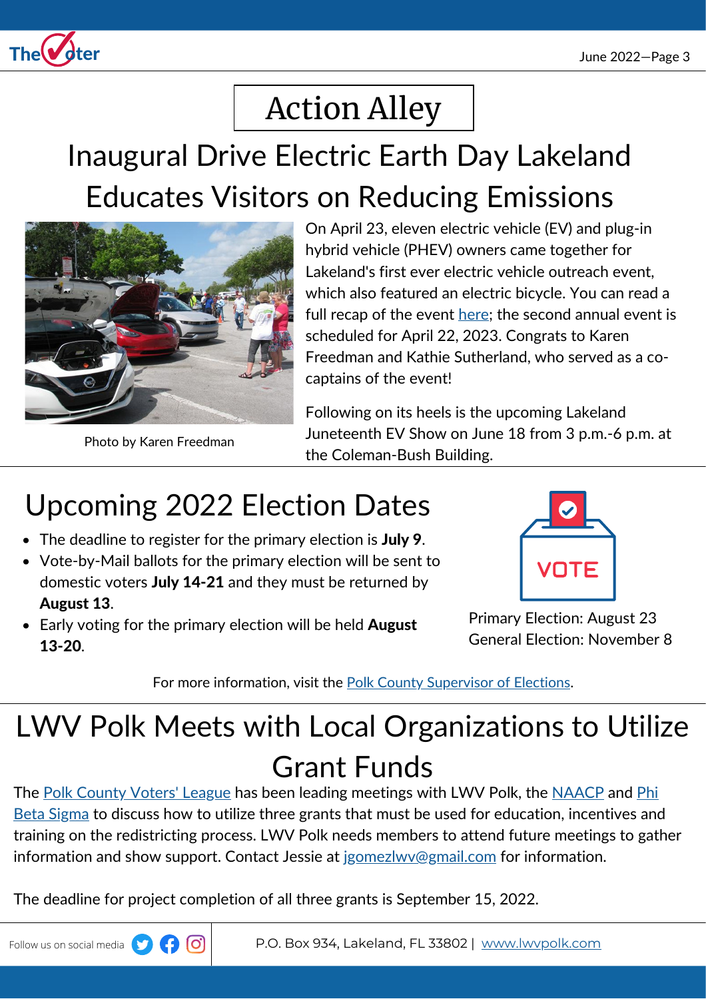

# Action Alley

## Inaugural Drive Electric Earth Day Lakeland Educates Visitors on Reducing Emissions



Photo by Karen Freedman

On April 23, eleven electric vehicle (EV) and plug-in hybrid vehicle (PHEV) owners came together for Lakeland's first ever electric vehicle outreach event, which also featured an electric bicycle. You can read a full recap of the event [here](https://driveelectricearthday.org/event?eventid=3179); the second annual event is scheduled for April 22, 2023. Congrats to Karen Freedman and Kathie Sutherland, who served as a cocaptains of the event!

Following on its heels is the upcoming Lakeland Juneteenth EV Show on June 18 from 3 p.m.-6 p.m. at the Coleman-Bush Building.

## Upcoming 2022 Election Dates

- The deadline to register for the primary election is July 9.
- Vote-by-Mail ballots for the primary election will be sent to domestic voters July 14-21 and they must be returned by August 13.
- Early voting for the primary election will be held **August** 13-20.



Primary Election: August 23 General Election: November 8

For more information, visit the Polk County [Supervisor](https://www.polkelections.com/) of Elections.

# LWV Polk Meets with Local Organizations to Utilize Grant Funds

The Polk [County](https://www.facebook.com/polkvotersleague) Voters' League has been leading meetings with LWV Polk, the [NAACP](https://www.naacplakelandbranch.org/) and Phi Beta Sigma to discuss how to utilize three grants that must be used for [education,](https://www.facebook.com/polkcountysigmas/) incentives and training on the redistricting process. LWV Polk needs members to attend future meetings to gather information and show support. Contact Jessie at jgomezlwy@gmail.com for information.

The deadline for project completion of all three grants is September 15, 2022.